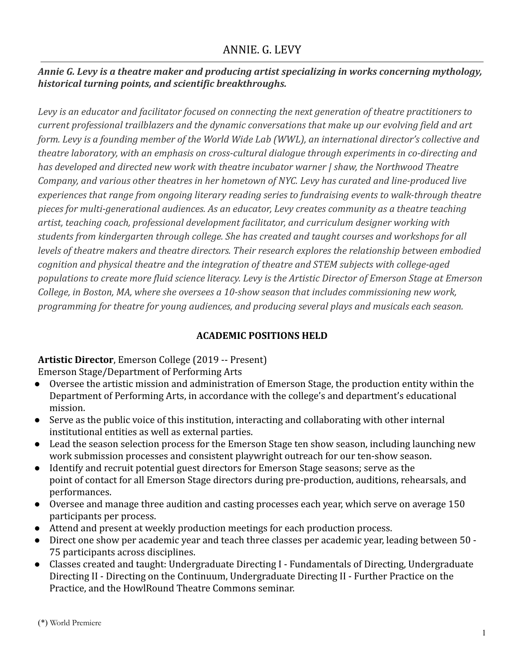# *Annie G. Levy is a theatre maker and producing artist specializing in works concerning mythology, historical turning points, and scientific breakthroughs.*

*Levy is an educator and facilitator focused on connecting the next generation of theatre practitioners to current professional trailblazers and the dynamic conversations that make up our evolving field and art form. Levy is a founding member of the World Wide Lab (WWL), an international director's collective and theatre laboratory, with an emphasis on cross-cultural dialogue through experiments in co-directing and has developed and directed new work with theatre incubator warner | shaw, the Northwood Theatre Company, and various other theatres in her hometown of NYC. Levy has curated and line-produced live experiences that range from ongoing literary reading series to fundraising events to walk-through theatre pieces for multi-generational audiences. As an educator, Levy creates community as a theatre teaching artist, teaching coach, professional development facilitator, and curriculum designer working with students from kindergarten through college. She has created and taught courses and workshops for all levels of theatre makers and theatre directors. Their research explores the relationship between embodied cognition and physical theatre and the integration of theatre and STEM subjects with college-aged populations to create more fluid science literacy. Levy is the Artistic Director of Emerson Stage at Emerson College, in Boston, MA, where she oversees a 10-show season that includes commissioning new work, programming for theatre for young audiences, and producing several plays and musicals each season.*

# **ACADEMIC POSITIONS HELD**

# **Artistic Director**, Emerson College (2019 -- Present)

Emerson Stage/Department of Performing Arts

- Oversee the artistic mission and administration of Emerson Stage, the production entity within the Department of Performing Arts, in accordance with the college's and department's educational mission.
- Serve as the public voice of this institution, interacting and collaborating with other internal institutional entities as well as external parties.
- Lead the season selection process for the Emerson Stage ten show season, including launching new work submission processes and consistent playwright outreach for our ten-show season.
- Identify and recruit potential guest directors for Emerson Stage seasons; serve as the point of contact for all Emerson Stage directors during pre-production, auditions, rehearsals, and performances.
- Oversee and manage three audition and casting processes each year, which serve on average 150 participants per process.
- Attend and present at weekly production meetings for each production process.
- Direct one show per academic year and teach three classes per academic year, leading between 50 75 participants across disciplines.
- Classes created and taught: Undergraduate Directing I Fundamentals of Directing, Undergraduate Directing II - Directing on the Continuum, Undergraduate Directing II - Further Practice on the Practice, and the HowlRound Theatre Commons seminar.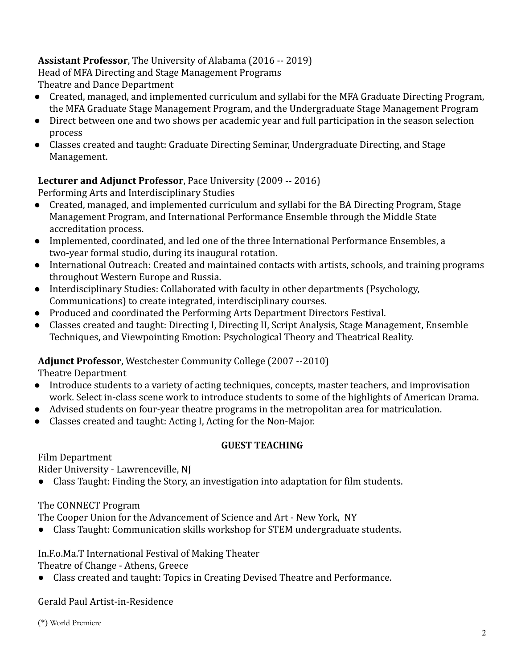# **Assistant Professor**, The University of Alabama (2016 -- 2019)

Head of MFA Directing and Stage Management Programs Theatre and Dance Department

- Created, managed, and implemented curriculum and syllabi for the MFA Graduate Directing Program, the MFA Graduate Stage Management Program, and the Undergraduate Stage Management Program
- Direct between one and two shows per academic year and full participation in the season selection process
- Classes created and taught: Graduate Directing Seminar, Undergraduate Directing, and Stage Management.

# **Lecturer and Adjunct Professor**, Pace University (2009 -- 2016)

Performing Arts and Interdisciplinary Studies

- Created, managed, and implemented curriculum and syllabi for the BA Directing Program, Stage Management Program, and International Performance Ensemble through the Middle State accreditation process.
- Implemented, coordinated, and led one of the three International Performance Ensembles, a two-year formal studio, during its inaugural rotation.
- International Outreach: Created and maintained contacts with artists, schools, and training programs throughout Western Europe and Russia.
- Interdisciplinary Studies: Collaborated with faculty in other departments (Psychology, Communications) to create integrated, interdisciplinary courses.
- Produced and coordinated the Performing Arts Department Directors Festival.
- Classes created and taught: Directing I, Directing II, Script Analysis, Stage Management, Ensemble Techniques, and Viewpointing Emotion: Psychological Theory and Theatrical Reality.

# **Adjunct Professor**, Westchester Community College (2007 --2010)

Theatre Department

- Introduce students to a variety of acting techniques, concepts, master teachers, and improvisation work. Select in-class scene work to introduce students to some of the highlights of American Drama.
- Advised students on four-year theatre programs in the metropolitan area for matriculation.
- Classes created and taught: Acting I, Acting for the Non-Major.

# **GUEST TEACHING**

Film Department Rider University - Lawrenceville, NJ

● Class Taught: Finding the Story, an investigation into adaptation for film students.

The CONNECT Program

The Cooper Union for the Advancement of Science and Art - New York, NY

● Class Taught: Communication skills workshop for STEM undergraduate students.

In.F.o.Ma.T International Festival of Making Theater

Theatre of Change - Athens, Greece

● Class created and taught: Topics in Creating Devised Theatre and Performance.

Gerald Paul Artist-in-Residence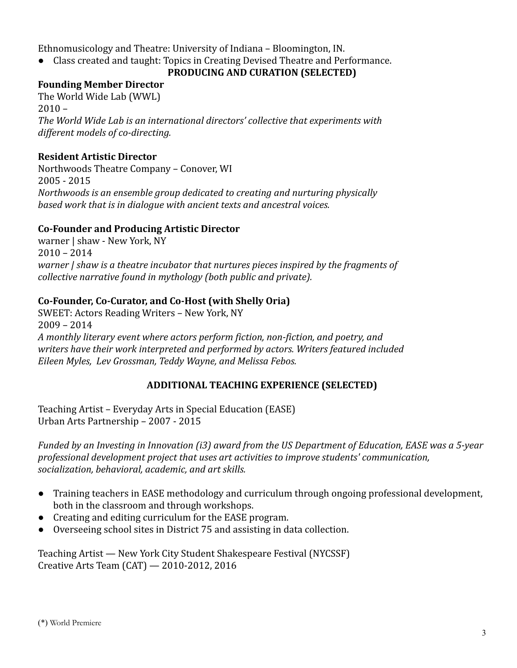Ethnomusicology and Theatre: University of Indiana – Bloomington, IN.

● Class created and taught: Topics in Creating Devised Theatre and Performance.

## **PRODUCING AND CURATION (SELECTED)**

## **Founding Member Director**

The World Wide Lab (WWL)  $2010 -$ *The World Wide Lab is an international directors' collective that experiments with different models of co-directing.*

# **Resident Artistic Director**

Northwoods Theatre Company – Conover, WI 2005 - 2015 *Northwoods is an ensemble group dedicated to creating and nurturing physically based work that is in dialogue with ancient texts and ancestral voices.*

# **Co-Founder and Producing Artistic Director**

warner | shaw - New York, NY 2010 – 2014 *warner | shaw is a theatre incubator that nurtures pieces inspired by the fragments of collective narrative found in mythology (both public and private).*

# **Co-Founder, Co-Curator, and Co-Host (with Shelly Oria)**

SWEET: Actors Reading Writers – New York, NY 2009 – 2014 *A monthly literary event where actors perform fiction, non-fiction, and poetry, and writers have their work interpreted and performed by actors. Writers featured included Eileen Myles, Lev Grossman, Teddy Wayne, and Melissa Febos.*

# **ADDITIONAL TEACHING EXPERIENCE (SELECTED)**

Teaching Artist – Everyday Arts in Special Education (EASE) Urban Arts Partnership – 2007 - 2015

*Funded by an Investing in Innovation (i3) award from the US Department of Education, EASE was a 5-year professional development project that uses art activities to improve students' communication, socialization, behavioral, academic, and art skills.*

- Training teachers in EASE methodology and curriculum through ongoing professional development, both in the classroom and through workshops.
- Creating and editing curriculum for the EASE program.
- Overseeing school sites in District 75 and assisting in data collection.

Teaching Artist — New York City Student Shakespeare Festival (NYCSSF) Creative Arts Team (CAT) — 2010-2012, 2016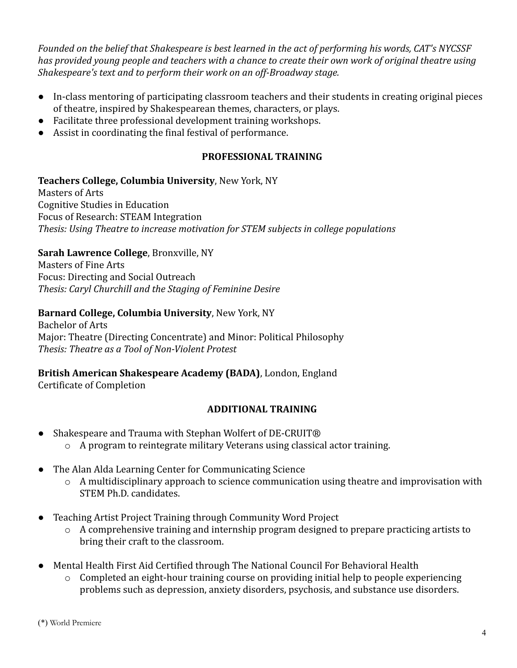*Founded on the belief that Shakespeare is best learned in the act of performing his words, CAT's NYCSSF has provided young people and teachers with a chance to create their own work of original theatre using Shakespeare's text and to perform their work on an off-Broadway stage.*

- In-class mentoring of participating classroom teachers and their students in creating original pieces of theatre, inspired by Shakespearean themes, characters, or plays.
- Facilitate three professional development training workshops.
- Assist in coordinating the final festival of performance.

# **PROFESSIONAL TRAINING**

# **Teachers College, Columbia University**, New York, NY

Masters of Arts Cognitive Studies in Education Focus of Research: STEAM Integration *Thesis: Using Theatre to increase motivation for STEM subjects in college populations*

# **Sarah Lawrence College**, Bronxville, NY

Masters of Fine Arts Focus: Directing and Social Outreach *Thesis: Caryl Churchill and the Staging of Feminine Desire*

## **Barnard College, Columbia University**, New York, NY

Bachelor of Arts Major: Theatre (Directing Concentrate) and Minor: Political Philosophy *Thesis: Theatre as a Tool of Non-Violent Protest*

# **British American Shakespeare Academy (BADA)**, London, England

Certificate of Completion

# **ADDITIONAL TRAINING**

- Shakespeare and Trauma with Stephan Wolfert of DE-CRUIT® o A program to reintegrate military Veterans using classical actor training.
- The Alan Alda Learning Center for Communicating Science
	- $\circ$  A multidisciplinary approach to science communication using theatre and improvisation with STEM Ph.D. candidates.
- Teaching Artist Project Training through Community Word Project
	- o A comprehensive training and internship program designed to prepare practicing artists to bring their craft to the classroom.
- Mental Health First Aid Certified through The National Council For Behavioral Health
	- o Completed an eight-hour training course on providing initial help to people experiencing problems such as depression, anxiety disorders, psychosis, and substance use disorders.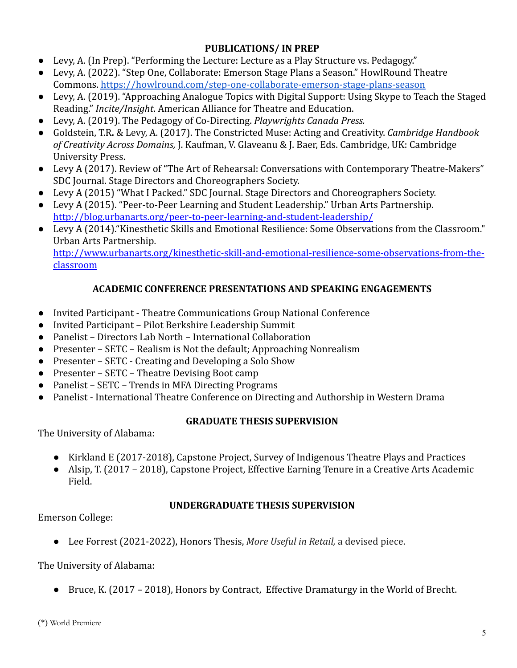# **PUBLICATIONS/ IN PREP**

- Levy, A. (In Prep). "Performing the Lecture: Lecture as a Play Structure vs. Pedagogy."
- Levy, A. (2022). "Step One, Collaborate: Emerson Stage Plans a Season." HowlRound Theatre Commons. <https://howlround.com/step-one-collaborate-emerson-stage-plans-season>
- Levy, A. (2019). "Approaching Analogue Topics with Digital Support: Using Skype to Teach the Staged Reading." *Incite/Insight*. American Alliance for Theatre and Education.
- Levy, A. (2019). The Pedagogy of Co-Directing. *Playwrights Canada Press.*
- Goldstein, T.R**.** & Levy, A. (2017). The Constricted Muse: Acting and Creativity. *Cambridge Handbook of Creativity Across Domains,* J. Kaufman, V. Glaveanu & J. Baer, Eds. Cambridge, UK: Cambridge University Press.
- Levy A (2017). Review of "The Art of Rehearsal: Conversations with Contemporary Theatre-Makers" SDC Journal. Stage Directors and Choreographers Society.
- Levy A (2015) "What I Packed." SDC Journal. Stage Directors and Choreographers Society.
- Levy A (2015). "Peer-to-Peer Learning and Student Leadership." Urban Arts Partnership. <http://blog.urbanarts.org/peer-to-peer-learning-and-student-leadership/>
- Levy A (2014)."Kinesthetic Skills and Emotional Resilience: Some Observations from the Classroom." Urban Arts Partnership.

[http://www.urbanarts.org/kinesthetic-skill-and-emotional-resilience-some-observations-from-the](http://www.urbanarts.org/kinesthetic-skill-and-emotional-resilience-some-observations-from-the-classroom)[classroom](http://www.urbanarts.org/kinesthetic-skill-and-emotional-resilience-some-observations-from-the-classroom)

# **ACADEMIC CONFERENCE PRESENTATIONS AND SPEAKING ENGAGEMENTS**

- Invited Participant Theatre Communications Group National Conference
- Invited Participant Pilot Berkshire Leadership Summit
- Panelist Directors Lab North International Collaboration
- Presenter SETC Realism is Not the default; Approaching Nonrealism
- Presenter SETC Creating and Developing a Solo Show
- Presenter SETC Theatre Devising Boot camp
- Panelist SETC Trends in MFA Directing Programs
- Panelist International Theatre Conference on Directing and Authorship in Western Drama

# **GRADUATE THESIS SUPERVISION**

The University of Alabama:

- Kirkland E (2017-2018), Capstone Project, Survey of Indigenous Theatre Plays and Practices
- Alsip, T. (2017 2018), Capstone Project, Effective Earning Tenure in a Creative Arts Academic Field.

# **UNDERGRADUATE THESIS SUPERVISION**

Emerson College:

● Lee Forrest (2021-2022), Honors Thesis, *More Useful in Retail,* a devised piece.

# The University of Alabama:

● Bruce, K. (2017 – 2018), Honors by Contract, Effective Dramaturgy in the World of Brecht.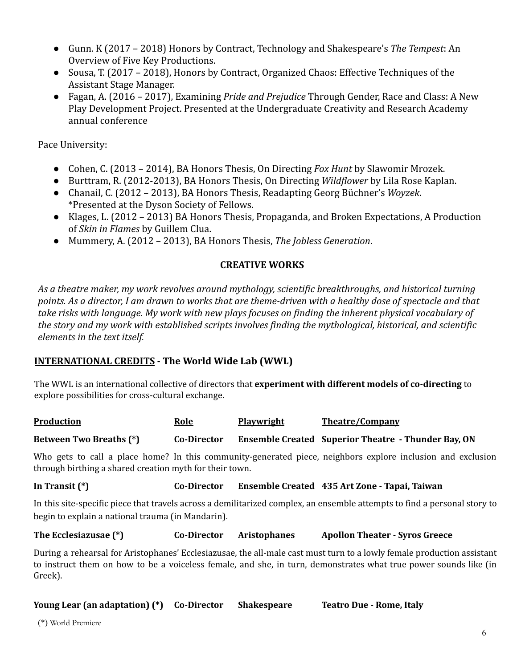- Gunn. K (2017 2018) Honors by Contract, Technology and Shakespeare's *The Tempest*: An Overview of Five Key Productions.
- Sousa, T. (2017 2018), Honors by Contract, Organized Chaos: Effective Techniques of the Assistant Stage Manager.
- Fagan, A. (2016 2017), Examining *Pride and Prejudice* Through Gender, Race and Class: A New Play Development Project. Presented at the Undergraduate Creativity and Research Academy annual conference

Pace University:

- Cohen, C. (2013 2014), BA Honors Thesis, On Directing *Fox Hunt* by Slawomir Mrozek.
- Burttram, R. (2012-2013), BA Honors Thesis, On Directing *Wildflower* by Lila Rose Kaplan.
- Chanail, C. (2012 2013), BA Honors Thesis, Readapting Georg Büchner's *Woyzek*. \*Presented at the Dyson Society of Fellows.
- Klages, L. (2012 2013) BA Honors Thesis, Propaganda, and Broken Expectations, A Production of *Skin in Flames* by Guillem Clua.
- Mummery, A. (2012 2013), BA Honors Thesis, *The Jobless Generation*.

# **CREATIVE WORKS**

*As a theatre maker, my work revolves around mythology, scientific breakthroughs, and historical turning points. As a director, I am drawn to works that are theme-driven with a healthy dose of spectacle and that take risks with language. My work with new plays focuses on finding the inherent physical vocabulary of the story and my work with established scripts involves finding the mythological, historical, and scientific elements in the text itself.*

# **INTERNATIONAL CREDITS - The World Wide Lab (WWL)**

The WWL is an international collective of directors that **experiment with different models of co-directing** to explore possibilities for cross-cultural exchange.

| <b>Production</b>              | <b>Role</b> | <b>Playwright</b> | <b>Theatre/Company</b>                                     |
|--------------------------------|-------------|-------------------|------------------------------------------------------------|
| <b>Between Two Breaths (*)</b> | Co-Director |                   | <b>Ensemble Created Superior Theatre - Thunder Bay, ON</b> |

Who gets to call a place home? In this community-generated piece, neighbors explore inclusion and exclusion through birthing a shared creation myth for their town.

**In Transit (\*) Co-Director Ensemble Created 435 Art Zone - Tapai, Taiwan**

In this site-specific piece that travels across a demilitarized complex, an ensemble attempts to find a personal story to begin to explain a national trauma (in Mandarin).

**The Ecclesiazusae (\*) Co-Director Aristophanes Apollon Theater - Syros Greece**

During a rehearsal for Aristophanes' Ecclesiazusae, the all-male cast must turn to a lowly female production assistant to instruct them on how to be a voiceless female, and she, in turn, demonstrates what true power sounds like (in Greek).

**Young Lear (an adaptation) (\*) Co-Director Shakespeare Teatro Due - Rome, Italy**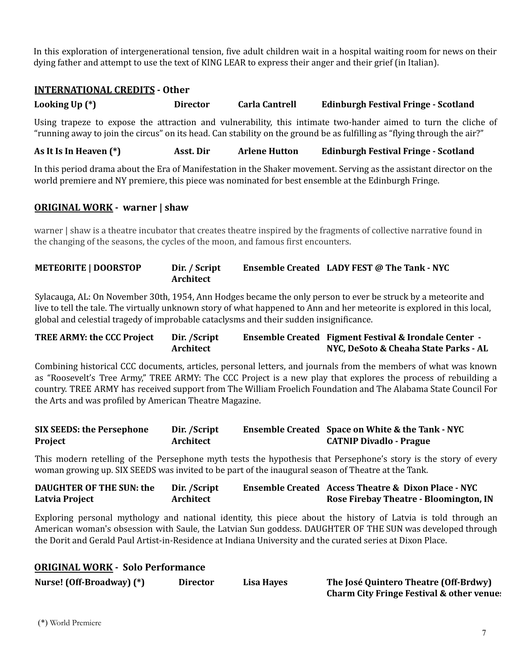In this exploration of intergenerational tension, five adult children wait in a hospital waiting room for news on their dying father and attempt to use the text of KING LEAR to express their anger and their grief (in Italian).

#### **INTERNATIONAL CREDITS - Other**

**Looking Up (\*) Director Carla Cantrell Edinburgh Festival Fringe - Scotland**

Using trapeze to expose the attraction and vulnerability, this intimate two-hander aimed to turn the cliche of "running away to join the circus" on its head. Can stability on the ground be as fulfilling as "flying through the air?"

**As It Is In Heaven (\*) Asst. Dir Arlene Hutton Edinburgh Festival Fringe - Scotland**

In this period drama about the Era of Manifestation in the Shaker movement. Serving as the assistant director on the world premiere and NY premiere, this piece was nominated for best ensemble at the Edinburgh Fringe.

## **ORIGINAL WORK - warner | shaw**

warner | shaw is a theatre incubator that creates theatre inspired by the fragments of collective narrative found in the changing of the seasons, the cycles of the moon, and famous first encounters.

#### **METEORITE | DOORSTOP Dir. / Script Architect Ensemble Created LADY FEST @ The Tank - NYC**

Sylacauga, AL: On November 30th, 1954, Ann Hodges became the only person to ever be struck by a meteorite and live to tell the tale. The virtually unknown story of what happened to Ann and her meteorite is explored in this local, global and celestial tragedy of improbable cataclysms and their sudden insignificance.

#### **TREE ARMY: the CCC Project Dir. /Script Architect Ensemble Created Figment Festival & Irondale Center - NYC, DeSoto & Cheaha State Parks - AL**

Combining historical CCC documents, articles, personal letters, and journals from the members of what was known as "Roosevelt's Tree Army," TREE ARMY: The CCC Project is a new play that explores the process of rebuilding a country. TREE ARMY has received support from The William Froelich Foundation and The Alabama State Council For the Arts and was profiled by American Theatre Magazine.

| <b>SIX SEEDS: the Persephone</b> | Dir. /Script | <b>Ensemble Created Space on White &amp; the Tank - NYC</b> |
|----------------------------------|--------------|-------------------------------------------------------------|
| Project                          | Architect    | <b>CATNIP Divadlo - Prague</b>                              |

This modern retelling of the Persephone myth tests the hypothesis that Persephone's story is the story of every woman growing up. SIX SEEDS was invited to be part of the inaugural season of Theatre at the Tank.

| <b>DAUGHTER OF THE SUN: the</b> | Dir. /Script | <b>Ensemble Created Access Theatre &amp; Dixon Place - NYC</b> |
|---------------------------------|--------------|----------------------------------------------------------------|
| Latvia Project                  | Architect    | Rose Firebay Theatre - Bloomington, IN                         |

Exploring personal mythology and national identity, this piece about the history of Latvia is told through an American woman's obsession with Saule, the Latvian Sun goddess. DAUGHTER OF THE SUN was developed through the Dorit and Gerald Paul Artist-in-Residence at Indiana University and the curated series at Dixon Place.

| <b>ORIGINAL WORK - Solo Performance</b> |                 |                   |                                                      |
|-----------------------------------------|-----------------|-------------------|------------------------------------------------------|
| Nurse! (Off-Broadway) (*)               | <b>Director</b> | <b>Lisa Hayes</b> | The José Quintero Theatre (Off-Brdwy)                |
|                                         |                 |                   | <b>Charm City Fringe Festival &amp; other venue:</b> |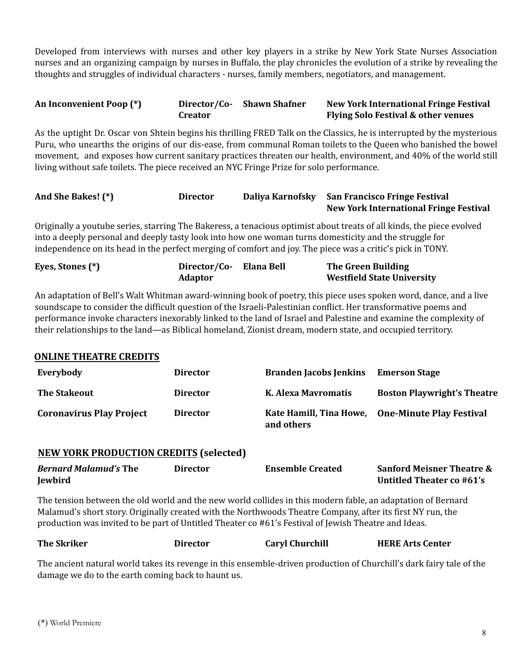Developed from interviews with nurses and other key players in a strike by New York State Nurses Association nurses and an organizing campaign by nurses in Buffalo, the play chronicles the evolution of a strike by revealing the thoughts and struggles of individual characters - nurses, family members, negotiators, and management.

| An Inconvenient Poop (*) |                | Director/Co- Shawn Shafner | <b>New York International Fringe Festival</b>  |
|--------------------------|----------------|----------------------------|------------------------------------------------|
|                          | <b>Creator</b> |                            | <b>Flying Solo Festival &amp; other venues</b> |

As the uptight Dr. Oscar von Shtein begins his thrilling FRED Talk on the Classics, he is interrupted by the mysterious Puru, who unearths the origins of our dis-ease, from communal Roman toilets to the Queen who banished the bowel movement, and exposes how current sanitary practices threaten our health, environment, and 40% of the world still living without safe toilets. The piece received an NYC Fringe Prize for solo performance.

| And She Bakes! (*) | <b>Director</b> | Daliya Karnofsky San Francisco Fringe Festival |
|--------------------|-----------------|------------------------------------------------|
|                    |                 | <b>New York International Fringe Festival</b>  |

Originally a youtube series, starring The Bakeress, a tenacious optimist about treats of all kinds, the piece evolved into a deeply personal and deeply tasty look into how one woman turns domesticity and the struggle for independence on its head in the perfect merging of comfort and joy. The piece was a critic's pick in TONY.

| Eyes, Stones (*) | Director/Co- Elana Bell | The Green Building                |
|------------------|-------------------------|-----------------------------------|
|                  | <b>Adaptor</b>          | <b>Westfield State University</b> |

An adaptation of Bell's Walt Whitman award-winning book of poetry, this piece uses spoken word, dance, and a live soundscape to consider the difficult question of the Israeli-Palestinian conflict. Her transformative poems and performance invoke characters inexorably linked to the land of Israel and Palestine and examine the complexity of their relationships to the land—as Biblical homeland, Zionist dream, modern state, and occupied territory.

#### **ONLINE THEATRE CREDITS**

**NEW YORK PRODUCTION CREDITS (selected)**

| Everybody                       | <b>Director</b> | <b>Branden Jacobs Jenkins</b> | <b>Emerson Stage</b>                             |
|---------------------------------|-----------------|-------------------------------|--------------------------------------------------|
| <b>The Stakeout</b>             | <b>Director</b> | K. Alexa Mavromatis           | <b>Boston Playwright's Theatre</b>               |
| <b>Coronavirus Play Project</b> | <b>Director</b> | and others                    | Kate Hamill, Tina Howe, One-Minute Play Festival |

| <u>REW TORRY RODOGTION GREDITO</u> (SCICCICU)  |          |                         |                                                                   |
|------------------------------------------------|----------|-------------------------|-------------------------------------------------------------------|
| <i>Bernard Malamud's The</i><br><b>Jewbird</b> | Director | <b>Ensemble Created</b> | <b>Sanford Meisner Theatre &amp;</b><br>Untitled Theater co #61's |
|                                                |          |                         |                                                                   |

The tension between the old world and the new world collides in this modern fable, an adaptation of Bernard Malamud's short story. Originally created with the Northwoods Theatre Company, after its first NY run, the production was invited to be part of Untitled Theater co #61's Festival of Jewish Theatre and Ideas.

| <b>The Skriker</b> | Director | <b>Caryl Churchill</b> | <b>HERE Arts Center</b>                                                                                         |
|--------------------|----------|------------------------|-----------------------------------------------------------------------------------------------------------------|
| <b>CONTRACTOR</b>  |          |                        | $\mathbf{v}$ . $\mathbf{v}$ , $\mathbf{v}$ , $\mathbf{v}$ , $\mathbf{v}$ , $\mathbf{v}$<br>$\sim$ $\sim$ $\sim$ |

The ancient natural world takes its revenge in this ensemble-driven production of Churchill's dark fairy tale of the damage we do to the earth coming back to haunt us.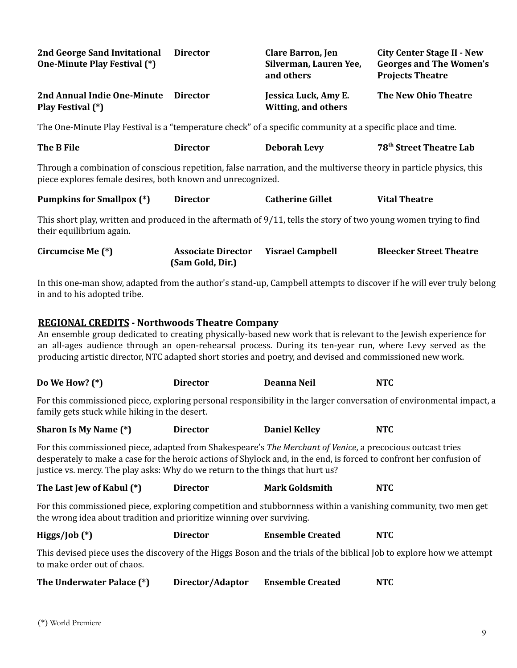| <b>2nd George Sand Invitational</b><br><b>One-Minute Play Festival (*)</b> | <b>Director</b> | <b>Clare Barron, Jen</b><br>Silverman, Lauren Yee,<br>and others | <b>City Center Stage II - New</b><br><b>Georges and The Women's</b><br><b>Projects Theatre</b> |
|----------------------------------------------------------------------------|-----------------|------------------------------------------------------------------|------------------------------------------------------------------------------------------------|
| 2nd Annual Indie One-Minute<br>Play Festival (*)                           | <b>Director</b> | Jessica Luck, Amy E.<br>Witting, and others                      | The New Ohio Theatre                                                                           |

The One-Minute Play Festival is a "temperature check" of a specific community at a specific place and time.

| The B File | Director | <b>Deborah Levy</b> | 78 <sup>th</sup> Street Theatre Lab |
|------------|----------|---------------------|-------------------------------------|
|            |          |                     |                                     |

Through a combination of conscious repetition, false narration, and the multiverse theory in particle physics, this piece explores female desires, both known and unrecognized.

| <b>Pumpkins for Smallpox (*)</b> | Director | <b>Catherine Gillet</b> | <b>Vital Theatre</b> |
|----------------------------------|----------|-------------------------|----------------------|
|----------------------------------|----------|-------------------------|----------------------|

This short play, written and produced in the aftermath of 9/11, tells the story of two young women trying to find their equilibrium again.

**Circumcise Me (\*) Associate Director (Sam Gold, Dir.) Yisrael Campbell Bleecker Street Theatre**

In this one-man show, adapted from the author's stand-up, Campbell attempts to discover if he will ever truly belong in and to his adopted tribe.

#### **REGIONAL CREDITS - Northwoods Theatre Company**

An ensemble group dedicated to creating physically-based new work that is relevant to the Jewish experience for an all-ages audience through an open-rehearsal process. During its ten-year run, where Levy served as the producing artistic director, NTC adapted short stories and poetry, and devised and commissioned new work.

| Do We How? $(*)$ | <b>Director</b> | Deanna Neil | <b>NTC</b> |
|------------------|-----------------|-------------|------------|
|------------------|-----------------|-------------|------------|

For this commissioned piece, exploring personal responsibility in the larger conversation of environmental impact, a family gets stuck while hiking in the desert.

For this commissioned piece, adapted from Shakespeare's *The Merchant of Venice*, a precocious outcast tries desperately to make a case for the heroic actions of Shylock and, in the end, is forced to confront her confusion of justice vs. mercy. The play asks: Why do we return to the things that hurt us?

| The Last Jew of Kabul (*) | <b>Director</b> | <b>Mark Goldsmith</b> | <b>NTC</b> |
|---------------------------|-----------------|-----------------------|------------|
|---------------------------|-----------------|-----------------------|------------|

**Higgs/Job (\*) Director Ensemble Created NTC**

For this commissioned piece, exploring competition and stubbornness within a vanishing community, two men get the wrong idea about tradition and prioritize winning over surviving.

| 11559/10011 | <i>DIL</i> COUZ | LHJVIIIDIV UI CULCU | .                                                                                                                     |
|-------------|-----------------|---------------------|-----------------------------------------------------------------------------------------------------------------------|
|             |                 |                     |                                                                                                                       |
|             |                 |                     | This devised piece uses the discovery of the Higgs Boson and the trials of the biblical Job to explore how we attempt |

to make order out of chaos.

| The Underwater Palace (*) | Director/Adaptor | <b>Ensemble Created</b> | <b>NTC</b> |
|---------------------------|------------------|-------------------------|------------|
|                           |                  |                         |            |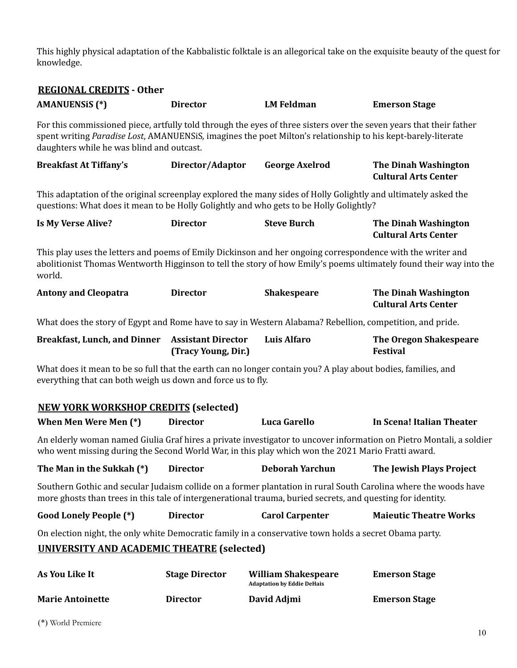This highly physical adaptation of the Kabbalistic folktale is an allegorical take on the exquisite beauty of the quest for knowledge.

# **REGIONAL CREDITS - Other**

| <u> Regional Credito</u> - Ouiei<br><b>AMANUENSIS (*)</b>                                                                                                                                                                                                                        | <b>Director</b>                                  | <b>LM Feldman</b>                                               | <b>Emerson Stage</b>                                                                                                |
|----------------------------------------------------------------------------------------------------------------------------------------------------------------------------------------------------------------------------------------------------------------------------------|--------------------------------------------------|-----------------------------------------------------------------|---------------------------------------------------------------------------------------------------------------------|
| For this commissioned piece, artfully told through the eyes of three sisters over the seven years that their father<br>spent writing Paradise Lost, AMANUENSiS, imagines the poet Milton's relationship to his kept-barely-literate<br>daughters while he was blind and outcast. |                                                  |                                                                 |                                                                                                                     |
| <b>Breakfast At Tiffany's</b>                                                                                                                                                                                                                                                    | Director/Adaptor                                 | <b>George Axelrod</b>                                           | <b>The Dinah Washington</b><br><b>Cultural Arts Center</b>                                                          |
| This adaptation of the original screenplay explored the many sides of Holly Golightly and ultimately asked the<br>questions: What does it mean to be Holly Golightly and who gets to be Holly Golightly?                                                                         |                                                  |                                                                 |                                                                                                                     |
| <b>Is My Verse Alive?</b>                                                                                                                                                                                                                                                        | <b>Director</b>                                  | <b>Steve Burch</b>                                              | <b>The Dinah Washington</b><br><b>Cultural Arts Center</b>                                                          |
| This play uses the letters and poems of Emily Dickinson and her ongoing correspondence with the writer and<br>world.                                                                                                                                                             |                                                  |                                                                 | abolitionist Thomas Wentworth Higginson to tell the story of how Emily's poems ultimately found their way into the  |
| <b>Antony and Cleopatra</b>                                                                                                                                                                                                                                                      | <b>Director</b>                                  | <b>Shakespeare</b>                                              | <b>The Dinah Washington</b><br><b>Cultural Arts Center</b>                                                          |
| What does the story of Egypt and Rome have to say in Western Alabama? Rebellion, competition, and pride.                                                                                                                                                                         |                                                  |                                                                 |                                                                                                                     |
| <b>Breakfast, Lunch, and Dinner</b>                                                                                                                                                                                                                                              | <b>Assistant Director</b><br>(Tracy Young, Dir.) | <b>Luis Alfaro</b>                                              | <b>The Oregon Shakespeare</b><br><b>Festival</b>                                                                    |
| What does it mean to be so full that the earth can no longer contain you? A play about bodies, families, and<br>everything that can both weigh us down and force us to fly.                                                                                                      |                                                  |                                                                 |                                                                                                                     |
| <b>NEW YORK WORKSHOP CREDITS (selected)</b>                                                                                                                                                                                                                                      |                                                  |                                                                 |                                                                                                                     |
| When Men Were Men (*)                                                                                                                                                                                                                                                            | <b>Director</b>                                  | Luca Garello                                                    | In Scena! Italian Theater                                                                                           |
| who went missing during the Second World War, in this play which won the 2021 Mario Fratti award.                                                                                                                                                                                |                                                  |                                                                 | An elderly woman named Giulia Graf hires a private investigator to uncover information on Pietro Montali, a soldier |
| The Man in the Sukkah (*) Director                                                                                                                                                                                                                                               |                                                  | <b>Deborah Yarchun</b>                                          | The Jewish Plays Project                                                                                            |
| more ghosts than trees in this tale of intergenerational trauma, buried secrets, and questing for identity.                                                                                                                                                                      |                                                  |                                                                 | Southern Gothic and secular Judaism collide on a former plantation in rural South Carolina where the woods have     |
| <b>Good Lonely People (*)</b>                                                                                                                                                                                                                                                    | <b>Director</b>                                  | <b>Carol Carpenter</b>                                          | <b>Maieutic Theatre Works</b>                                                                                       |
| On election night, the only white Democratic family in a conservative town holds a secret Obama party.                                                                                                                                                                           |                                                  |                                                                 |                                                                                                                     |
| <b>UNIVERSITY AND ACADEMIC THEATRE (selected)</b>                                                                                                                                                                                                                                |                                                  |                                                                 |                                                                                                                     |
| As You Like It                                                                                                                                                                                                                                                                   | <b>Stage Director</b>                            | <b>William Shakespeare</b><br><b>Adaptation by Eddie DeHais</b> | <b>Emerson Stage</b>                                                                                                |
| <b>Marie Antoinette</b>                                                                                                                                                                                                                                                          | <b>Director</b>                                  | David Adjmi                                                     | <b>Emerson Stage</b>                                                                                                |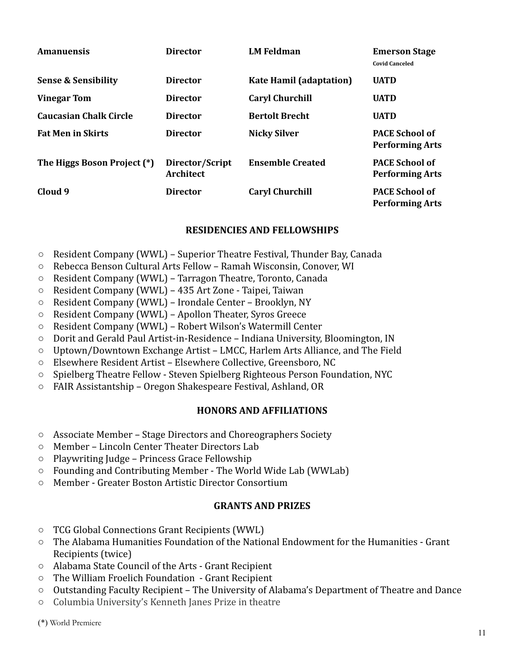| <b>Amanuensis</b>              | <b>Director</b>                     | <b>LM Feldman</b>              | <b>Emerson Stage</b><br><b>Covid Canceled</b>   |
|--------------------------------|-------------------------------------|--------------------------------|-------------------------------------------------|
| <b>Sense &amp; Sensibility</b> | <b>Director</b>                     | <b>Kate Hamil (adaptation)</b> | <b>UATD</b>                                     |
| <b>Vinegar Tom</b>             | <b>Director</b>                     | <b>Caryl Churchill</b>         | <b>UATD</b>                                     |
| <b>Caucasian Chalk Circle</b>  | <b>Director</b>                     | <b>Bertolt Brecht</b>          | <b>UATD</b>                                     |
| <b>Fat Men in Skirts</b>       | <b>Director</b>                     | <b>Nicky Silver</b>            | <b>PACE School of</b><br><b>Performing Arts</b> |
| The Higgs Boson Project (*)    | Director/Script<br><b>Architect</b> | <b>Ensemble Created</b>        | <b>PACE School of</b><br><b>Performing Arts</b> |
| Cloud 9                        | <b>Director</b>                     | <b>Caryl Churchill</b>         | <b>PACE School of</b><br><b>Performing Arts</b> |

## **RESIDENCIES AND FELLOWSHIPS**

- Resident Company (WWL) Superior Theatre Festival, Thunder Bay, Canada
- Rebecca Benson Cultural Arts Fellow Ramah Wisconsin, Conover, WI
- Resident Company (WWL) Tarragon Theatre, Toronto, Canada
- Resident Company (WWL) 435 Art Zone Taipei, Taiwan
- Resident Company (WWL) Irondale Center Brooklyn, NY
- Resident Company (WWL) Apollon Theater, Syros Greece
- Resident Company (WWL) Robert Wilson's Watermill Center
- Dorit and Gerald Paul Artist-in-Residence Indiana University, Bloomington, IN
- Uptown/Downtown Exchange Artist LMCC, Harlem Arts Alliance, and The Field
- Elsewhere Resident Artist Elsewhere Collective, Greensboro, NC
- Spielberg Theatre Fellow Steven Spielberg Righteous Person Foundation, NYC
- FAIR Assistantship Oregon Shakespeare Festival, Ashland, OR

#### **HONORS AND AFFILIATIONS**

- Associate Member Stage Directors and Choreographers Society
- Member Lincoln Center Theater Directors Lab
- Playwriting Judge Princess Grace Fellowship
- Founding and Contributing Member The World Wide Lab (WWLab)
- Member Greater Boston Artistic Director Consortium

#### **GRANTS AND PRIZES**

- TCG Global Connections Grant Recipients (WWL)
- The Alabama Humanities Foundation of the National [Endowment for the Humanities](http://www.neh.gov/) Grant Recipients (twice)
- Alabama State Council of the Arts Grant Recipient
- The William Froelich Foundation Grant Recipient
- Outstanding Faculty Recipient The University of Alabama's Department of Theatre and Dance
- Columbia University's Kenneth Janes Prize in theatre